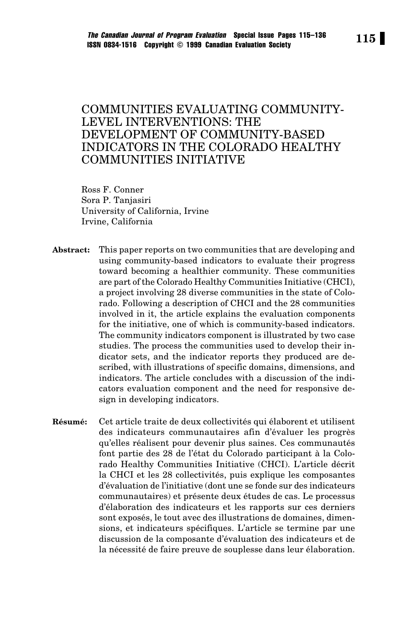# COMMUNITIES EVALUATING COMMUNITY-LEVEL INTERVENTIONS: THE DEVELOPMENT OF COMMUNITY-BASED INDICATORS IN THE COLORADO HEALTHY COMMUNITIES INITIATIVE

Ross F. Conner Sora P. Tanjasiri University of California, Irvine Irvine, California

- **Abstract:** This paper reports on two communities that are developing and using community-based indicators to evaluate their progress toward becoming a healthier community. These communities are part of the Colorado Healthy Communities Initiative (CHCI), a project involving 28 diverse communities in the state of Colorado. Following a description of CHCI and the 28 communities involved in it, the article explains the evaluation components for the initiative, one of which is community-based indicators. The community indicators component is illustrated by two case studies. The process the communities used to develop their indicator sets, and the indicator reports they produced are described, with illustrations of specific domains, dimensions, and indicators. The article concludes with a discussion of the indicators evaluation component and the need for responsive design in developing indicators.
- **Résumé:** Cet article traite de deux collectivités qui élaborent et utilisent des indicateurs communautaires afin d'évaluer les progrès qu'elles réalisent pour devenir plus saines. Ces communautés font partie des 28 de l'état du Colorado participant à la Colorado Healthy Communities Initiative (CHCI). L'article décrit la CHCI et les 28 collectivités, puis explique les composantes d'évaluation de l'initiative (dont une se fonde sur des indicateurs communautaires) et présente deux études de cas. Le processus d'élaboration des indicateurs et les rapports sur ces derniers sont exposés, le tout avec des illustrations de domaines, dimensions, et indicateurs spécifiques. L'article se termine par une discussion de la composante d'évaluation des indicateurs et de la nécessité de faire preuve de souplesse dans leur élaboration.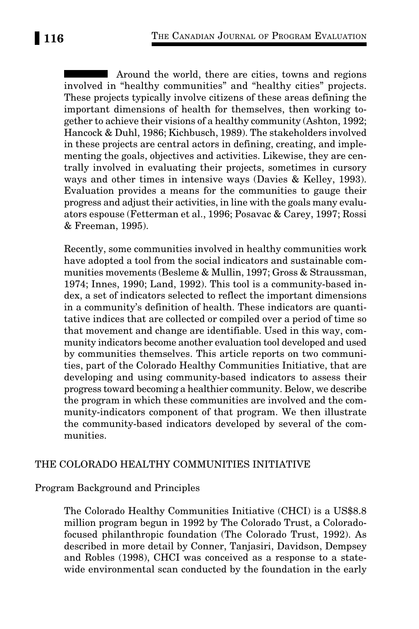Around the world, there are cities, towns and regions involved in "healthy communities" and "healthy cities" projects. These projects typically involve citizens of these areas defining the important dimensions of health for themselves, then working together to achieve their visions of a healthy community (Ashton, 1992; Hancock & Duhl, 1986; Kichbusch, 1989). The stakeholders involved in these projects are central actors in defining, creating, and implementing the goals, objectives and activities. Likewise, they are centrally involved in evaluating their projects, sometimes in cursory ways and other times in intensive ways (Davies & Kelley, 1993). Evaluation provides a means for the communities to gauge their progress and adjust their activities, in line with the goals many evaluators espouse (Fetterman et al., 1996; Posavac & Carey, 1997; Rossi & Freeman, 1995).

Recently, some communities involved in healthy communities work have adopted a tool from the social indicators and sustainable communities movements (Besleme & Mullin, 1997; Gross & Straussman, 1974; Innes, 1990; Land, 1992). This tool is a community-based index, a set of indicators selected to reflect the important dimensions in a community's definition of health. These indicators are quantitative indices that are collected or compiled over a period of time so that movement and change are identifiable. Used in this way, community indicators become another evaluation tool developed and used by communities themselves. This article reports on two communities, part of the Colorado Healthy Communities Initiative, that are developing and using community-based indicators to assess their progress toward becoming a healthier community. Below, we describe the program in which these communities are involved and the community-indicators component of that program. We then illustrate the community-based indicators developed by several of the communities.

### THE COLORADO HEALTHY COMMUNITIES INITIATIVE

#### Program Background and Principles

The Colorado Healthy Communities Initiative (CHCI) is a US\$8.8 million program begun in 1992 by The Colorado Trust, a Coloradofocused philanthropic foundation (The Colorado Trust, 1992). As described in more detail by Conner, Tanjasiri, Davidson, Dempsey and Robles (1998), CHCI was conceived as a response to a statewide environmental scan conducted by the foundation in the early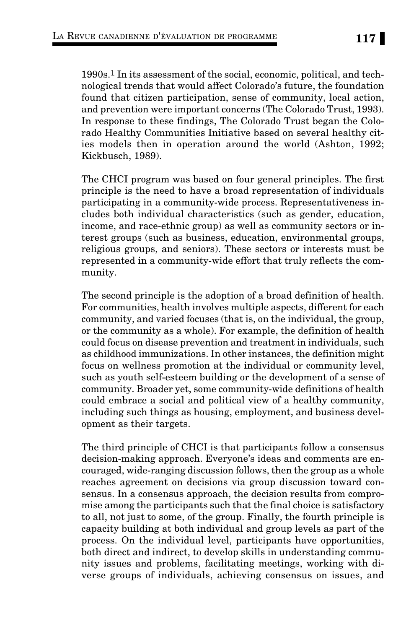1990s.1 In its assessment of the social, economic, political, and technological trends that would affect Colorado's future, the foundation found that citizen participation, sense of community, local action, and prevention were important concerns (The Colorado Trust, 1993). In response to these findings, The Colorado Trust began the Colorado Healthy Communities Initiative based on several healthy cities models then in operation around the world (Ashton, 1992; Kickbusch, 1989).

The CHCI program was based on four general principles. The first principle is the need to have a broad representation of individuals participating in a community-wide process. Representativeness includes both individual characteristics (such as gender, education, income, and race-ethnic group) as well as community sectors or interest groups (such as business, education, environmental groups, religious groups, and seniors). These sectors or interests must be represented in a community-wide effort that truly reflects the community.

The second principle is the adoption of a broad definition of health. For communities, health involves multiple aspects, different for each community, and varied focuses (that is, on the individual, the group, or the community as a whole). For example, the definition of health could focus on disease prevention and treatment in individuals, such as childhood immunizations. In other instances, the definition might focus on wellness promotion at the individual or community level, such as youth self-esteem building or the development of a sense of community. Broader yet, some community-wide definitions of health could embrace a social and political view of a healthy community, including such things as housing, employment, and business development as their targets.

The third principle of CHCI is that participants follow a consensus decision-making approach. Everyone's ideas and comments are encouraged, wide-ranging discussion follows, then the group as a whole reaches agreement on decisions via group discussion toward consensus. In a consensus approach, the decision results from compromise among the participants such that the final choice is satisfactory to all, not just to some, of the group. Finally, the fourth principle is capacity building at both individual and group levels as part of the process. On the individual level, participants have opportunities, both direct and indirect, to develop skills in understanding community issues and problems, facilitating meetings, working with diverse groups of individuals, achieving consensus on issues, and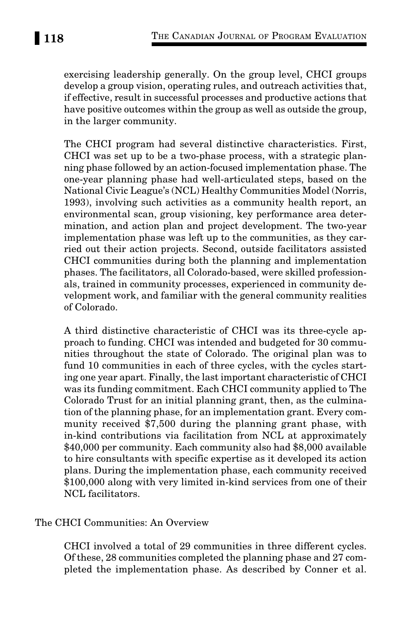exercising leadership generally. On the group level, CHCI groups develop a group vision, operating rules, and outreach activities that, if effective, result in successful processes and productive actions that have positive outcomes within the group as well as outside the group, in the larger community.

The CHCI program had several distinctive characteristics. First, CHCI was set up to be a two-phase process, with a strategic planning phase followed by an action-focused implementation phase. The one-year planning phase had well-articulated steps, based on the National Civic League's (NCL) Healthy Communities Model (Norris, 1993), involving such activities as a community health report, an environmental scan, group visioning, key performance area determination, and action plan and project development. The two-year implementation phase was left up to the communities, as they carried out their action projects. Second, outside facilitators assisted CHCI communities during both the planning and implementation phases. The facilitators, all Colorado-based, were skilled professionals, trained in community processes, experienced in community development work, and familiar with the general community realities of Colorado.

A third distinctive characteristic of CHCI was its three-cycle approach to funding. CHCI was intended and budgeted for 30 communities throughout the state of Colorado. The original plan was to fund 10 communities in each of three cycles, with the cycles starting one year apart. Finally, the last important characteristic of CHCI was its funding commitment. Each CHCI community applied to The Colorado Trust for an initial planning grant, then, as the culmination of the planning phase, for an implementation grant. Every community received \$7,500 during the planning grant phase, with in-kind contributions via facilitation from NCL at approximately \$40,000 per community. Each community also had \$8,000 available to hire consultants with specific expertise as it developed its action plans. During the implementation phase, each community received \$100,000 along with very limited in-kind services from one of their NCL facilitators.

# The CHCI Communities: An Overview

CHCI involved a total of 29 communities in three different cycles. Of these, 28 communities completed the planning phase and 27 completed the implementation phase. As described by Conner et al.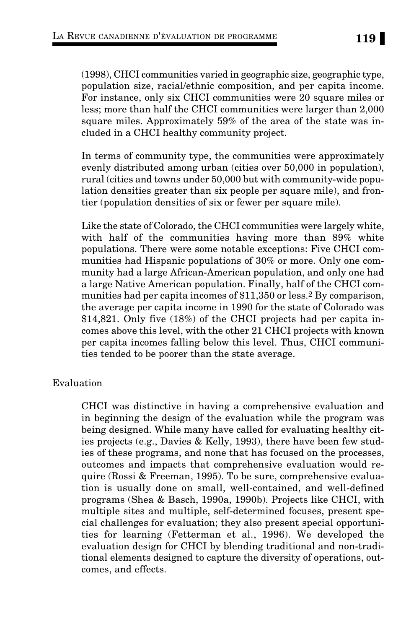(1998), CHCI communities varied in geographic size, geographic type, population size, racial/ethnic composition, and per capita income. For instance, only six CHCI communities were 20 square miles or less; more than half the CHCI communities were larger than 2,000 square miles. Approximately 59% of the area of the state was included in a CHCI healthy community project.

In terms of community type, the communities were approximately evenly distributed among urban (cities over 50,000 in population), rural (cities and towns under 50,000 but with community-wide population densities greater than six people per square mile), and frontier (population densities of six or fewer per square mile).

Like the state of Colorado, the CHCI communities were largely white, with half of the communities having more than 89% white populations. There were some notable exceptions: Five CHCI communities had Hispanic populations of 30% or more. Only one community had a large African-American population, and only one had a large Native American population. Finally, half of the CHCI communities had per capita incomes of \$11,350 or less.2 By comparison, the average per capita income in 1990 for the state of Colorado was \$14,821. Only five (18%) of the CHCI projects had per capita incomes above this level, with the other 21 CHCI projects with known per capita incomes falling below this level. Thus, CHCI communities tended to be poorer than the state average.

### Evaluation

CHCI was distinctive in having a comprehensive evaluation and in beginning the design of the evaluation while the program was being designed. While many have called for evaluating healthy cities projects (e.g., Davies & Kelly, 1993), there have been few studies of these programs, and none that has focused on the processes, outcomes and impacts that comprehensive evaluation would require (Rossi & Freeman, 1995). To be sure, comprehensive evaluation is usually done on small, well-contained, and well-defined programs (Shea & Basch, 1990a, 1990b). Projects like CHCI, with multiple sites and multiple, self-determined focuses, present special challenges for evaluation; they also present special opportunities for learning (Fetterman et al., 1996). We developed the evaluation design for CHCI by blending traditional and non-traditional elements designed to capture the diversity of operations, outcomes, and effects.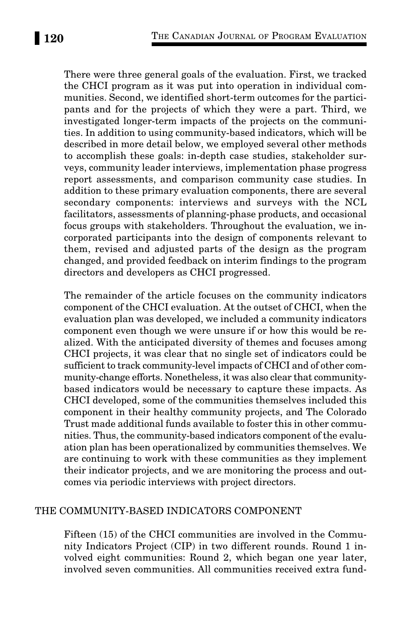There were three general goals of the evaluation. First, we tracked the CHCI program as it was put into operation in individual communities. Second, we identified short-term outcomes for the participants and for the projects of which they were a part. Third, we investigated longer-term impacts of the projects on the communities. In addition to using community-based indicators, which will be described in more detail below, we employed several other methods to accomplish these goals: in-depth case studies, stakeholder surveys, community leader interviews, implementation phase progress report assessments, and comparison community case studies. In addition to these primary evaluation components, there are several secondary components: interviews and surveys with the NCL facilitators, assessments of planning-phase products, and occasional focus groups with stakeholders. Throughout the evaluation, we incorporated participants into the design of components relevant to them, revised and adjusted parts of the design as the program changed, and provided feedback on interim findings to the program directors and developers as CHCI progressed.

The remainder of the article focuses on the community indicators component of the CHCI evaluation. At the outset of CHCI, when the evaluation plan was developed, we included a community indicators component even though we were unsure if or how this would be realized. With the anticipated diversity of themes and focuses among CHCI projects, it was clear that no single set of indicators could be sufficient to track community-level impacts of CHCI and of other community-change efforts. Nonetheless, it was also clear that communitybased indicators would be necessary to capture these impacts. As CHCI developed, some of the communities themselves included this component in their healthy community projects, and The Colorado Trust made additional funds available to foster this in other communities. Thus, the community-based indicators component of the evaluation plan has been operationalized by communities themselves. We are continuing to work with these communities as they implement their indicator projects, and we are monitoring the process and outcomes via periodic interviews with project directors.

### THE COMMUNITY-BASED INDICATORS COMPONENT

Fifteen (15) of the CHCI communities are involved in the Community Indicators Project (CIP) in two different rounds. Round 1 involved eight communities: Round 2, which began one year later, involved seven communities. All communities received extra fund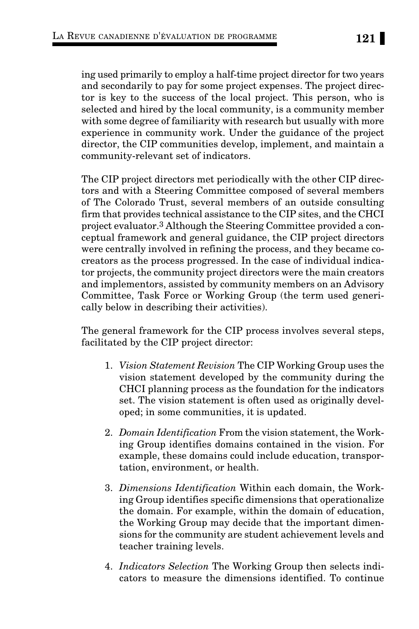ing used primarily to employ a half-time project director for two years and secondarily to pay for some project expenses. The project director is key to the success of the local project. This person, who is selected and hired by the local community, is a community member with some degree of familiarity with research but usually with more experience in community work. Under the guidance of the project director, the CIP communities develop, implement, and maintain a community-relevant set of indicators.

The CIP project directors met periodically with the other CIP directors and with a Steering Committee composed of several members of The Colorado Trust, several members of an outside consulting firm that provides technical assistance to the CIP sites, and the CHCI project evaluator.3 Although the Steering Committee provided a conceptual framework and general guidance, the CIP project directors were centrally involved in refining the process, and they became cocreators as the process progressed. In the case of individual indicator projects, the community project directors were the main creators and implementors, assisted by community members on an Advisory Committee, Task Force or Working Group (the term used generically below in describing their activities).

The general framework for the CIP process involves several steps, facilitated by the CIP project director:

- 1. *Vision Statement Revision* The CIP Working Group uses the vision statement developed by the community during the CHCI planning process as the foundation for the indicators set. The vision statement is often used as originally developed; in some communities, it is updated.
- 2. *Domain Identification* From the vision statement, the Working Group identifies domains contained in the vision. For example, these domains could include education, transportation, environment, or health.
- 3. *Dimensions Identification* Within each domain, the Working Group identifies specific dimensions that operationalize the domain. For example, within the domain of education, the Working Group may decide that the important dimensions for the community are student achievement levels and teacher training levels.
- 4. *Indicators Selection* The Working Group then selects indicators to measure the dimensions identified. To continue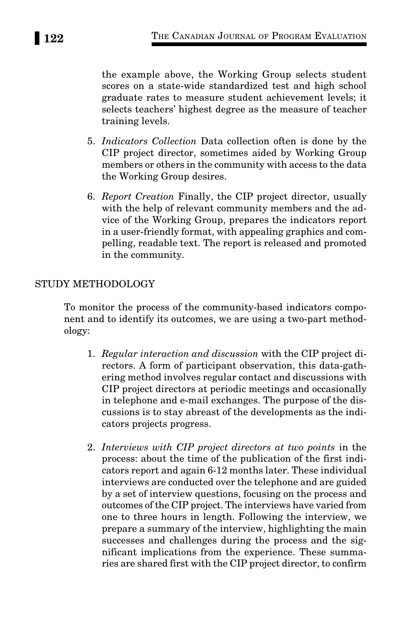the example above, the Working Group selects student scores on a state-wide standardized test and high school graduate rates to measure student achievement levels; it selects teachers' highest degree as the measure of teacher training levels.

- 5. *Indicators Collection* Data collection often is done by the CIP project director, sometimes aided by Working Group members or others in the community with access to the data the Working Group desires.
- 6. *Report Creation* Finally, the CIP project director, usually with the help of relevant community members and the advice of the Working Group, prepares the indicators report in a user-friendly format, with appealing graphics and compelling, readable text. The report is released and promoted in the community.

# STUDY METHODOLOGY

To monitor the process of the community-based indicators component and to identify its outcomes, we are using a two-part methodology:

- 1. *Regular interaction and discussion* with the CIP project directors. A form of participant observation, this data-gathering method involves regular contact and discussions with CIP project directors at periodic meetings and occasionally in telephone and e-mail exchanges. The purpose of the discussions is to stay abreast of the developments as the indicators projects progress.
- 2. *Interviews with CIP project directors at two points* in the process: about the time of the publication of the first indicators report and again 6-12 months later. These individual interviews are conducted over the telephone and are guided by a set of interview questions, focusing on the process and outcomes of the CIP project. The interviews have varied from one to three hours in length. Following the interview, we prepare a summary of the interview, highlighting the main successes and challenges during the process and the significant implications from the experience. These summaries are shared first with the CIP project director, to confirm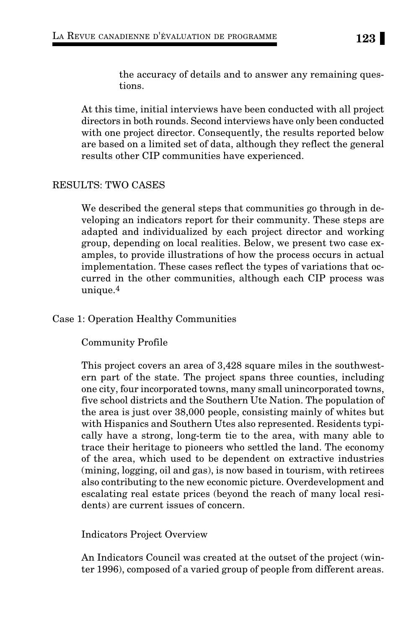the accuracy of details and to answer any remaining questions.

At this time, initial interviews have been conducted with all project directors in both rounds. Second interviews have only been conducted with one project director. Consequently, the results reported below are based on a limited set of data, although they reflect the general results other CIP communities have experienced.

### RESULTS: TWO CASES

We described the general steps that communities go through in developing an indicators report for their community. These steps are adapted and individualized by each project director and working group, depending on local realities. Below, we present two case examples, to provide illustrations of how the process occurs in actual implementation. These cases reflect the types of variations that occurred in the other communities, although each CIP process was unique.4

### Case 1: Operation Healthy Communities

### Community Profile

This project covers an area of 3,428 square miles in the southwestern part of the state. The project spans three counties, including one city, four incorporated towns, many small unincorporated towns, five school districts and the Southern Ute Nation. The population of the area is just over 38,000 people, consisting mainly of whites but with Hispanics and Southern Utes also represented. Residents typically have a strong, long-term tie to the area, with many able to trace their heritage to pioneers who settled the land. The economy of the area, which used to be dependent on extractive industries (mining, logging, oil and gas), is now based in tourism, with retirees also contributing to the new economic picture. Overdevelopment and escalating real estate prices (beyond the reach of many local residents) are current issues of concern.

Indicators Project Overview

An Indicators Council was created at the outset of the project (winter 1996), composed of a varied group of people from different areas.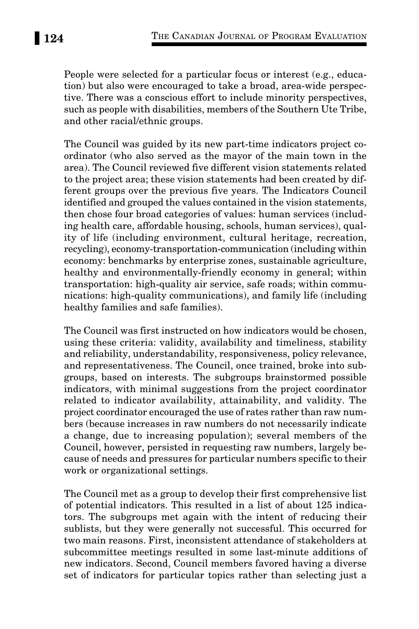People were selected for a particular focus or interest (e.g., education) but also were encouraged to take a broad, area-wide perspective. There was a conscious effort to include minority perspectives, such as people with disabilities, members of the Southern Ute Tribe, and other racial/ethnic groups.

The Council was guided by its new part-time indicators project coordinator (who also served as the mayor of the main town in the area). The Council reviewed five different vision statements related to the project area; these vision statements had been created by different groups over the previous five years. The Indicators Council identified and grouped the values contained in the vision statements, then chose four broad categories of values: human services (including health care, affordable housing, schools, human services), quality of life (including environment, cultural heritage, recreation, recycling), economy-transportation-communication (including within economy: benchmarks by enterprise zones, sustainable agriculture, healthy and environmentally-friendly economy in general; within transportation: high-quality air service, safe roads; within communications: high-quality communications), and family life (including healthy families and safe families).

The Council was first instructed on how indicators would be chosen, using these criteria: validity, availability and timeliness, stability and reliability, understandability, responsiveness, policy relevance, and representativeness. The Council, once trained, broke into subgroups, based on interests. The subgroups brainstormed possible indicators, with minimal suggestions from the project coordinator related to indicator availability, attainability, and validity. The project coordinator encouraged the use of rates rather than raw numbers (because increases in raw numbers do not necessarily indicate a change, due to increasing population); several members of the Council, however, persisted in requesting raw numbers, largely because of needs and pressures for particular numbers specific to their work or organizational settings.

The Council met as a group to develop their first comprehensive list of potential indicators. This resulted in a list of about 125 indicators. The subgroups met again with the intent of reducing their sublists, but they were generally not successful. This occurred for two main reasons. First, inconsistent attendance of stakeholders at subcommittee meetings resulted in some last-minute additions of new indicators. Second, Council members favored having a diverse set of indicators for particular topics rather than selecting just a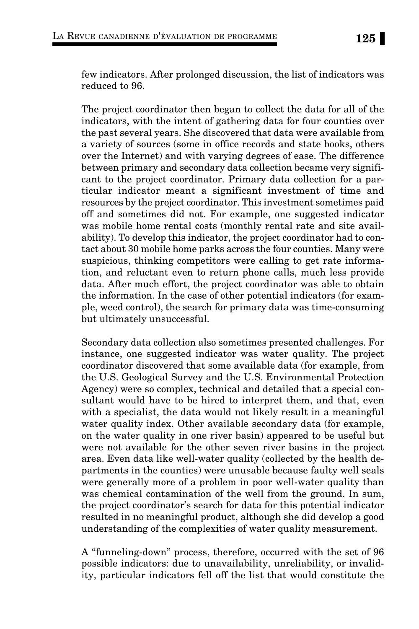few indicators. After prolonged discussion, the list of indicators was reduced to 96.

The project coordinator then began to collect the data for all of the indicators, with the intent of gathering data for four counties over the past several years. She discovered that data were available from a variety of sources (some in office records and state books, others over the Internet) and with varying degrees of ease. The difference between primary and secondary data collection became very significant to the project coordinator. Primary data collection for a particular indicator meant a significant investment of time and resources by the project coordinator. This investment sometimes paid off and sometimes did not. For example, one suggested indicator was mobile home rental costs (monthly rental rate and site availability). To develop this indicator, the project coordinator had to contact about 30 mobile home parks across the four counties. Many were suspicious, thinking competitors were calling to get rate information, and reluctant even to return phone calls, much less provide data. After much effort, the project coordinator was able to obtain the information. In the case of other potential indicators (for example, weed control), the search for primary data was time-consuming but ultimately unsuccessful.

Secondary data collection also sometimes presented challenges. For instance, one suggested indicator was water quality. The project coordinator discovered that some available data (for example, from the U.S. Geological Survey and the U.S. Environmental Protection Agency) were so complex, technical and detailed that a special consultant would have to be hired to interpret them, and that, even with a specialist, the data would not likely result in a meaningful water quality index. Other available secondary data (for example, on the water quality in one river basin) appeared to be useful but were not available for the other seven river basins in the project area. Even data like well-water quality (collected by the health departments in the counties) were unusable because faulty well seals were generally more of a problem in poor well-water quality than was chemical contamination of the well from the ground. In sum, the project coordinator's search for data for this potential indicator resulted in no meaningful product, although she did develop a good understanding of the complexities of water quality measurement.

A "funneling-down" process, therefore, occurred with the set of 96 possible indicators: due to unavailability, unreliability, or invalidity, particular indicators fell off the list that would constitute the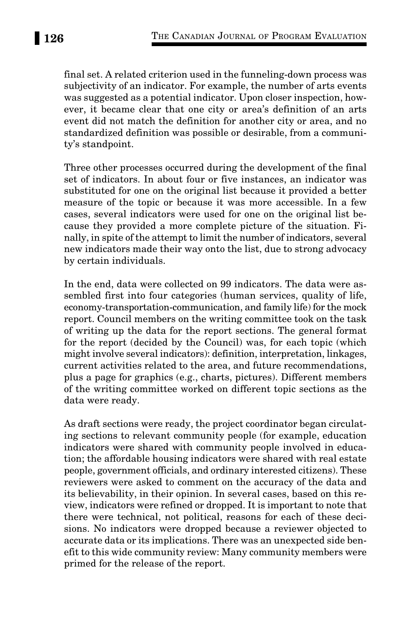final set. A related criterion used in the funneling-down process was subjectivity of an indicator. For example, the number of arts events was suggested as a potential indicator. Upon closer inspection, however, it became clear that one city or area's definition of an arts event did not match the definition for another city or area, and no standardized definition was possible or desirable, from a community's standpoint.

Three other processes occurred during the development of the final set of indicators. In about four or five instances, an indicator was substituted for one on the original list because it provided a better measure of the topic or because it was more accessible. In a few cases, several indicators were used for one on the original list because they provided a more complete picture of the situation. Finally, in spite of the attempt to limit the number of indicators, several new indicators made their way onto the list, due to strong advocacy by certain individuals.

In the end, data were collected on 99 indicators. The data were assembled first into four categories (human services, quality of life, economy-transportation-communication, and family life) for the mock report. Council members on the writing committee took on the task of writing up the data for the report sections. The general format for the report (decided by the Council) was, for each topic (which might involve several indicators): definition, interpretation, linkages, current activities related to the area, and future recommendations, plus a page for graphics (e.g., charts, pictures). Different members of the writing committee worked on different topic sections as the data were ready.

As draft sections were ready, the project coordinator began circulating sections to relevant community people (for example, education indicators were shared with community people involved in education; the affordable housing indicators were shared with real estate people, government officials, and ordinary interested citizens). These reviewers were asked to comment on the accuracy of the data and its believability, in their opinion. In several cases, based on this review, indicators were refined or dropped. It is important to note that there were technical, not political, reasons for each of these decisions. No indicators were dropped because a reviewer objected to accurate data or its implications. There was an unexpected side benefit to this wide community review: Many community members were primed for the release of the report.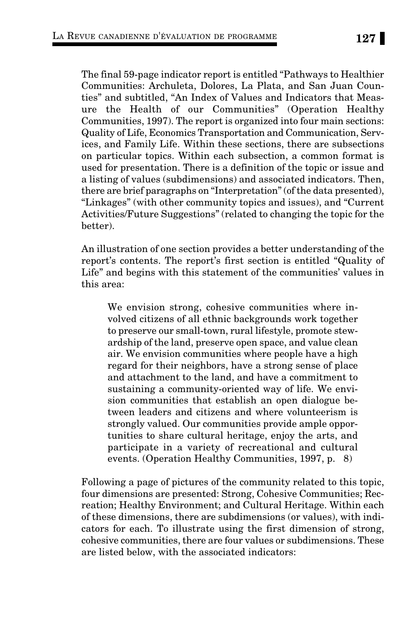The final 59-page indicator report is entitled "Pathways to Healthier Communities: Archuleta, Dolores, La Plata, and San Juan Counties" and subtitled, "An Index of Values and Indicators that Measure the Health of our Communities" (Operation Healthy Communities, 1997). The report is organized into four main sections: Quality of Life, Economics Transportation and Communication, Services, and Family Life. Within these sections, there are subsections on particular topics. Within each subsection, a common format is used for presentation. There is a definition of the topic or issue and a listing of values (subdimensions) and associated indicators. Then, there are brief paragraphs on "Interpretation" (of the data presented), "Linkages" (with other community topics and issues), and "Current Activities/Future Suggestions" (related to changing the topic for the better).

An illustration of one section provides a better understanding of the report's contents. The report's first section is entitled "Quality of Life" and begins with this statement of the communities' values in this area:

We envision strong, cohesive communities where involved citizens of all ethnic backgrounds work together to preserve our small-town, rural lifestyle, promote stewardship of the land, preserve open space, and value clean air. We envision communities where people have a high regard for their neighbors, have a strong sense of place and attachment to the land, and have a commitment to sustaining a community-oriented way of life. We envision communities that establish an open dialogue between leaders and citizens and where volunteerism is strongly valued. Our communities provide ample opportunities to share cultural heritage, enjoy the arts, and participate in a variety of recreational and cultural events. (Operation Healthy Communities, 1997, p. 8)

Following a page of pictures of the community related to this topic, four dimensions are presented: Strong, Cohesive Communities; Recreation; Healthy Environment; and Cultural Heritage. Within each of these dimensions, there are subdimensions (or values), with indicators for each. To illustrate using the first dimension of strong, cohesive communities, there are four values or subdimensions. These are listed below, with the associated indicators: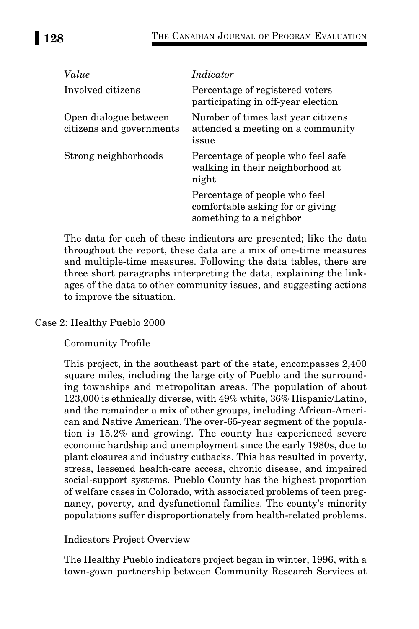| Value                                             | Indicator                                                                                    |
|---------------------------------------------------|----------------------------------------------------------------------------------------------|
| Involved citizens                                 | Percentage of registered voters<br>participating in off-year election                        |
| Open dialogue between<br>citizens and governments | Number of times last year citizens<br>attended a meeting on a community<br>issue             |
| Strong neighborhoods                              | Percentage of people who feel safe<br>walking in their neighborhood at<br>night              |
|                                                   | Percentage of people who feel<br>comfortable asking for or giving<br>something to a neighbor |

The data for each of these indicators are presented; like the data throughout the report, these data are a mix of one-time measures and multiple-time measures. Following the data tables, there are three short paragraphs interpreting the data, explaining the linkages of the data to other community issues, and suggesting actions to improve the situation.

# Case 2: Healthy Pueblo 2000

Community Profile

This project, in the southeast part of the state, encompasses 2,400 square miles, including the large city of Pueblo and the surrounding townships and metropolitan areas. The population of about 123,000 is ethnically diverse, with 49% white, 36% Hispanic/Latino, and the remainder a mix of other groups, including African-American and Native American. The over-65-year segment of the population is 15.2% and growing. The county has experienced severe economic hardship and unemployment since the early 1980s, due to plant closures and industry cutbacks. This has resulted in poverty, stress, lessened health-care access, chronic disease, and impaired social-support systems. Pueblo County has the highest proportion of welfare cases in Colorado, with associated problems of teen pregnancy, poverty, and dysfunctional families. The county's minority populations suffer disproportionately from health-related problems.

# Indicators Project Overview

The Healthy Pueblo indicators project began in winter, 1996, with a town-gown partnership between Community Research Services at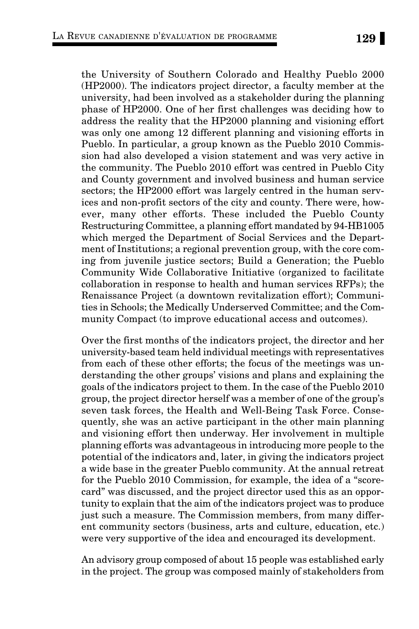the University of Southern Colorado and Healthy Pueblo 2000 (HP2000). The indicators project director, a faculty member at the university, had been involved as a stakeholder during the planning phase of HP2000. One of her first challenges was deciding how to address the reality that the HP2000 planning and visioning effort was only one among 12 different planning and visioning efforts in Pueblo. In particular, a group known as the Pueblo 2010 Commission had also developed a vision statement and was very active in the community. The Pueblo 2010 effort was centred in Pueblo City and County government and involved business and human service sectors; the HP2000 effort was largely centred in the human services and non-profit sectors of the city and county. There were, however, many other efforts. These included the Pueblo County Restructuring Committee, a planning effort mandated by 94-HB1005 which merged the Department of Social Services and the Department of Institutions; a regional prevention group, with the core coming from juvenile justice sectors; Build a Generation; the Pueblo Community Wide Collaborative Initiative (organized to facilitate collaboration in response to health and human services RFPs); the Renaissance Project (a downtown revitalization effort); Communities in Schools; the Medically Underserved Committee; and the Community Compact (to improve educational access and outcomes).

Over the first months of the indicators project, the director and her university-based team held individual meetings with representatives from each of these other efforts; the focus of the meetings was understanding the other groups' visions and plans and explaining the goals of the indicators project to them. In the case of the Pueblo 2010 group, the project director herself was a member of one of the group's seven task forces, the Health and Well-Being Task Force. Consequently, she was an active participant in the other main planning and visioning effort then underway. Her involvement in multiple planning efforts was advantageous in introducing more people to the potential of the indicators and, later, in giving the indicators project a wide base in the greater Pueblo community. At the annual retreat for the Pueblo 2010 Commission, for example, the idea of a "scorecard" was discussed, and the project director used this as an opportunity to explain that the aim of the indicators project was to produce just such a measure. The Commission members, from many different community sectors (business, arts and culture, education, etc.) were very supportive of the idea and encouraged its development.

An advisory group composed of about 15 people was established early in the project. The group was composed mainly of stakeholders from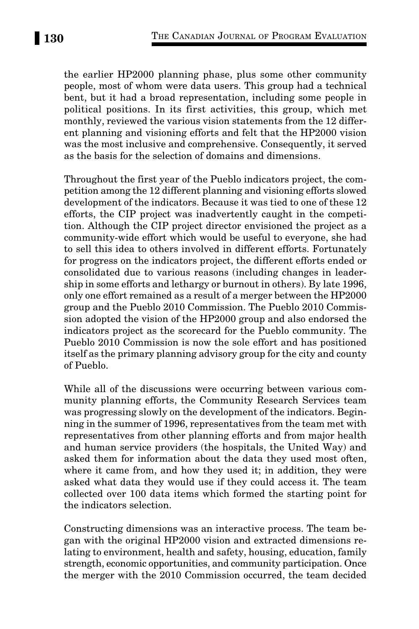the earlier HP2000 planning phase, plus some other community people, most of whom were data users. This group had a technical bent, but it had a broad representation, including some people in political positions. In its first activities, this group, which met monthly, reviewed the various vision statements from the 12 different planning and visioning efforts and felt that the HP2000 vision was the most inclusive and comprehensive. Consequently, it served as the basis for the selection of domains and dimensions.

Throughout the first year of the Pueblo indicators project, the competition among the 12 different planning and visioning efforts slowed development of the indicators. Because it was tied to one of these 12 efforts, the CIP project was inadvertently caught in the competition. Although the CIP project director envisioned the project as a community-wide effort which would be useful to everyone, she had to sell this idea to others involved in different efforts. Fortunately for progress on the indicators project, the different efforts ended or consolidated due to various reasons (including changes in leadership in some efforts and lethargy or burnout in others). By late 1996, only one effort remained as a result of a merger between the HP2000 group and the Pueblo 2010 Commission. The Pueblo 2010 Commission adopted the vision of the HP2000 group and also endorsed the indicators project as the scorecard for the Pueblo community. The Pueblo 2010 Commission is now the sole effort and has positioned itself as the primary planning advisory group for the city and county of Pueblo.

While all of the discussions were occurring between various community planning efforts, the Community Research Services team was progressing slowly on the development of the indicators. Beginning in the summer of 1996, representatives from the team met with representatives from other planning efforts and from major health and human service providers (the hospitals, the United Way) and asked them for information about the data they used most often, where it came from, and how they used it; in addition, they were asked what data they would use if they could access it. The team collected over 100 data items which formed the starting point for the indicators selection.

Constructing dimensions was an interactive process. The team began with the original HP2000 vision and extracted dimensions relating to environment, health and safety, housing, education, family strength, economic opportunities, and community participation. Once the merger with the 2010 Commission occurred, the team decided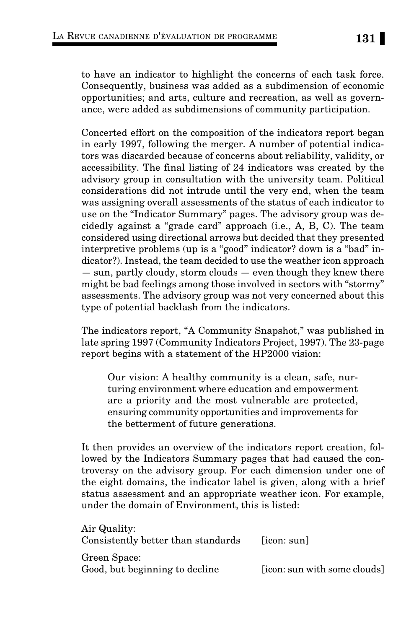to have an indicator to highlight the concerns of each task force. Consequently, business was added as a subdimension of economic opportunities; and arts, culture and recreation, as well as governance, were added as subdimensions of community participation.

Concerted effort on the composition of the indicators report began in early 1997, following the merger. A number of potential indicators was discarded because of concerns about reliability, validity, or accessibility. The final listing of 24 indicators was created by the advisory group in consultation with the university team. Political considerations did not intrude until the very end, when the team was assigning overall assessments of the status of each indicator to use on the "Indicator Summary" pages. The advisory group was decidedly against a "grade card" approach (i.e., A, B, C). The team considered using directional arrows but decided that they presented interpretive problems (up is a "good" indicator? down is a "bad" indicator?). Instead, the team decided to use the weather icon approach — sun, partly cloudy, storm clouds — even though they knew there might be bad feelings among those involved in sectors with "stormy" assessments. The advisory group was not very concerned about this type of potential backlash from the indicators.

The indicators report, "A Community Snapshot," was published in late spring 1997 (Community Indicators Project, 1997). The 23-page report begins with a statement of the HP2000 vision:

Our vision: A healthy community is a clean, safe, nurturing environment where education and empowerment are a priority and the most vulnerable are protected, ensuring community opportunities and improvements for the betterment of future generations.

It then provides an overview of the indicators report creation, followed by the Indicators Summary pages that had caused the controversy on the advisory group. For each dimension under one of the eight domains, the indicator label is given, along with a brief status assessment and an appropriate weather icon. For example, under the domain of Environment, this is listed:

| Air Quality:<br>Consistently better than standards | $\lceil$ icon: sun $\rceil$  |
|----------------------------------------------------|------------------------------|
| Green Space:<br>Good, but beginning to decline     | [icon: sun with some clouds] |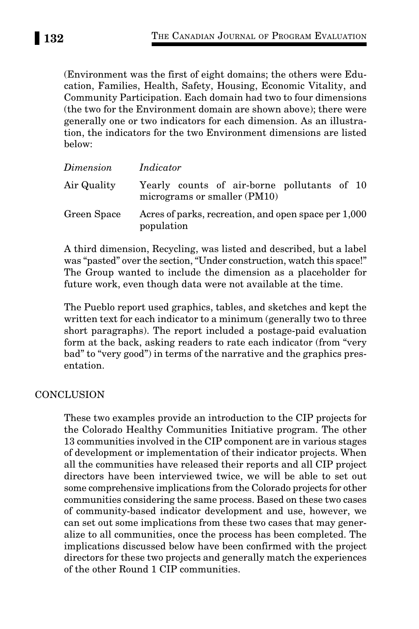(Environment was the first of eight domains; the others were Education, Families, Health, Safety, Housing, Economic Vitality, and Community Participation. Each domain had two to four dimensions (the two for the Environment domain are shown above); there were generally one or two indicators for each dimension. As an illustration, the indicators for the two Environment dimensions are listed below:

| Dimension   | Indicator                                                                   |
|-------------|-----------------------------------------------------------------------------|
| Air Quality | Yearly counts of air-borne pollutants of 10<br>micrograms or smaller (PM10) |
| Green Space | Acres of parks, recreation, and open space per 1,000<br>population          |

A third dimension, Recycling, was listed and described, but a label was "pasted" over the section, "Under construction, watch this space!" The Group wanted to include the dimension as a placeholder for future work, even though data were not available at the time.

The Pueblo report used graphics, tables, and sketches and kept the written text for each indicator to a minimum (generally two to three short paragraphs). The report included a postage-paid evaluation form at the back, asking readers to rate each indicator (from "very bad" to "very good") in terms of the narrative and the graphics presentation.

### **CONCLUSION**

These two examples provide an introduction to the CIP projects for the Colorado Healthy Communities Initiative program. The other 13 communities involved in the CIP component are in various stages of development or implementation of their indicator projects. When all the communities have released their reports and all CIP project directors have been interviewed twice, we will be able to set out some comprehensive implications from the Colorado projects for other communities considering the same process. Based on these two cases of community-based indicator development and use, however, we can set out some implications from these two cases that may generalize to all communities, once the process has been completed. The implications discussed below have been confirmed with the project directors for these two projects and generally match the experiences of the other Round 1 CIP communities.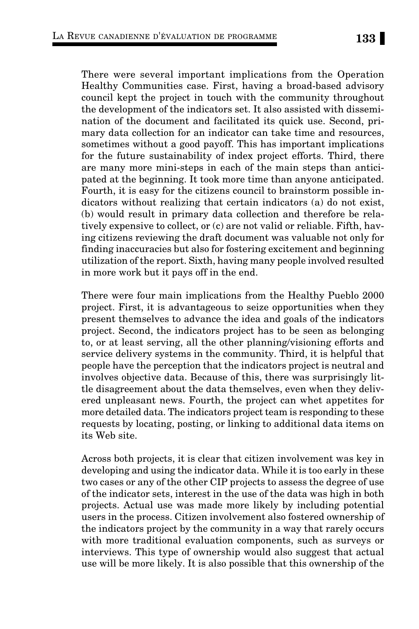There were several important implications from the Operation Healthy Communities case. First, having a broad-based advisory council kept the project in touch with the community throughout the development of the indicators set. It also assisted with dissemination of the document and facilitated its quick use. Second, primary data collection for an indicator can take time and resources, sometimes without a good payoff. This has important implications for the future sustainability of index project efforts. Third, there are many more mini-steps in each of the main steps than anticipated at the beginning. It took more time than anyone anticipated. Fourth, it is easy for the citizens council to brainstorm possible indicators without realizing that certain indicators (a) do not exist, (b) would result in primary data collection and therefore be relatively expensive to collect, or (c) are not valid or reliable. Fifth, having citizens reviewing the draft document was valuable not only for finding inaccuracies but also for fostering excitement and beginning utilization of the report. Sixth, having many people involved resulted in more work but it pays off in the end.

There were four main implications from the Healthy Pueblo 2000 project. First, it is advantageous to seize opportunities when they present themselves to advance the idea and goals of the indicators project. Second, the indicators project has to be seen as belonging to, or at least serving, all the other planning/visioning efforts and service delivery systems in the community. Third, it is helpful that people have the perception that the indicators project is neutral and involves objective data. Because of this, there was surprisingly little disagreement about the data themselves, even when they delivered unpleasant news. Fourth, the project can whet appetites for more detailed data. The indicators project team is responding to these requests by locating, posting, or linking to additional data items on its Web site.

Across both projects, it is clear that citizen involvement was key in developing and using the indicator data. While it is too early in these two cases or any of the other CIP projects to assess the degree of use of the indicator sets, interest in the use of the data was high in both projects. Actual use was made more likely by including potential users in the process. Citizen involvement also fostered ownership of the indicators project by the community in a way that rarely occurs with more traditional evaluation components, such as surveys or interviews. This type of ownership would also suggest that actual use will be more likely. It is also possible that this ownership of the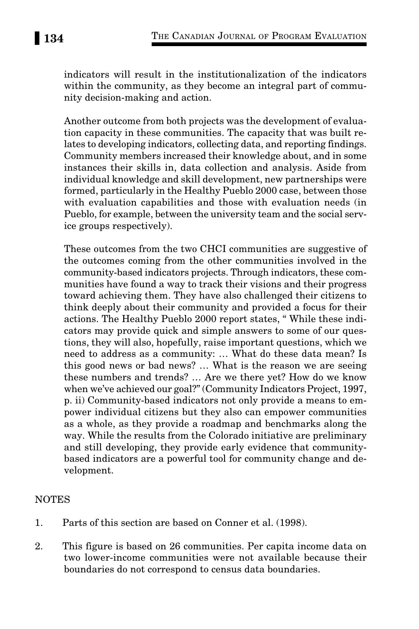indicators will result in the institutionalization of the indicators within the community, as they become an integral part of community decision-making and action.

Another outcome from both projects was the development of evaluation capacity in these communities. The capacity that was built relates to developing indicators, collecting data, and reporting findings. Community members increased their knowledge about, and in some instances their skills in, data collection and analysis. Aside from individual knowledge and skill development, new partnerships were formed, particularly in the Healthy Pueblo 2000 case, between those with evaluation capabilities and those with evaluation needs (in Pueblo, for example, between the university team and the social service groups respectively).

These outcomes from the two CHCI communities are suggestive of the outcomes coming from the other communities involved in the community-based indicators projects. Through indicators, these communities have found a way to track their visions and their progress toward achieving them. They have also challenged their citizens to think deeply about their community and provided a focus for their actions. The Healthy Pueblo 2000 report states, " While these indicators may provide quick and simple answers to some of our questions, they will also, hopefully, raise important questions, which we need to address as a community: … What do these data mean? Is this good news or bad news? … What is the reason we are seeing these numbers and trends? … Are we there yet? How do we know when we've achieved our goal?" (Community Indicators Project, 1997, p. ii) Community-based indicators not only provide a means to empower individual citizens but they also can empower communities as a whole, as they provide a roadmap and benchmarks along the way. While the results from the Colorado initiative are preliminary and still developing, they provide early evidence that communitybased indicators are a powerful tool for community change and development.

# NOTES

- 1. Parts of this section are based on Conner et al. (1998).
- 2. This figure is based on 26 communities. Per capita income data on two lower-income communities were not available because their boundaries do not correspond to census data boundaries.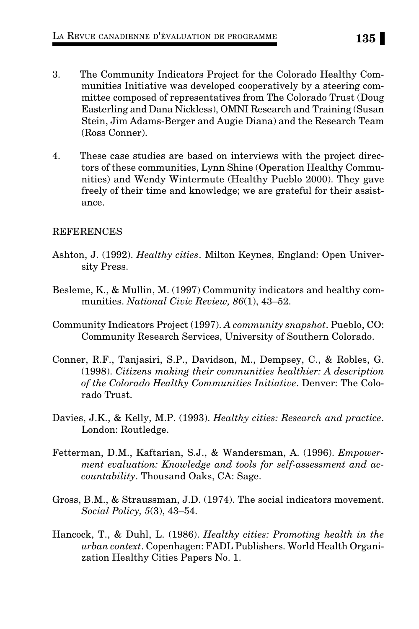- 3. The Community Indicators Project for the Colorado Healthy Communities Initiative was developed cooperatively by a steering committee composed of representatives from The Colorado Trust (Doug Easterling and Dana Nickless), OMNI Research and Training (Susan Stein, Jim Adams-Berger and Augie Diana) and the Research Team (Ross Conner).
- 4. These case studies are based on interviews with the project directors of these communities, Lynn Shine (Operation Healthy Communities) and Wendy Wintermute (Healthy Pueblo 2000). They gave freely of their time and knowledge; we are grateful for their assistance.

### REFERENCES

- Ashton, J. (1992). *Healthy cities*. Milton Keynes, England: Open University Press.
- Besleme, K., & Mullin, M. (1997) Community indicators and healthy communities. *National Civic Review, 86*(1), 43–52.
- Community Indicators Project (1997). *A community snapshot*. Pueblo, CO: Community Research Services, University of Southern Colorado.
- Conner, R.F., Tanjasiri, S.P., Davidson, M., Dempsey, C., & Robles, G. (1998). *Citizens making their communities healthier: A description of the Colorado Healthy Communities Initiative*. Denver: The Colorado Trust.
- Davies, J.K., & Kelly, M.P. (1993). *Healthy cities: Research and practice*. London: Routledge.
- Fetterman, D.M., Kaftarian, S.J., & Wandersman, A. (1996). *Empowerment evaluation: Knowledge and tools for self-assessment and accountability*. Thousand Oaks, CA: Sage.
- Gross, B.M., & Straussman, J.D. (1974). The social indicators movement. *Social Policy, 5*(3), 43–54.
- Hancock, T., & Duhl, L. (1986). *Healthy cities: Promoting health in the urban context*. Copenhagen: FADL Publishers. World Health Organization Healthy Cities Papers No. 1.